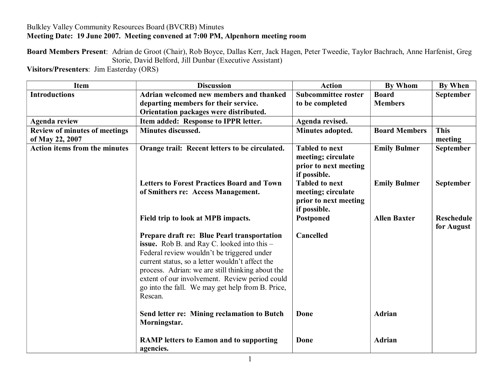## Bulkley Valley Community Resources Board (BVCRB) Minutes **Meeting Date: 19 June 2007. Meeting convened at 7:00 PM, Alpenhorn meeting room**

**Board Members Present**: Adrian de Groot (Chair), Rob Boyce, Dallas Kerr, Jack Hagen, Peter Tweedie, Taylor Bachrach, Anne Harfenist, Greg Storie, David Belford, Jill Dunbar (Executive Assistant)

**Visitors/Presenters**: Jim Easterday (ORS)

| <b>Item</b>                          | <b>Discussion</b>                                                                                                                                                                                                                                                                                                                                                       | <b>Action</b>                                                                        | <b>By Whom</b>       | <b>By When</b>                  |
|--------------------------------------|-------------------------------------------------------------------------------------------------------------------------------------------------------------------------------------------------------------------------------------------------------------------------------------------------------------------------------------------------------------------------|--------------------------------------------------------------------------------------|----------------------|---------------------------------|
| <b>Introductions</b>                 | Adrian welcomed new members and thanked                                                                                                                                                                                                                                                                                                                                 | <b>Subcommittee roster</b>                                                           | <b>Board</b>         | September                       |
|                                      | departing members for their service.                                                                                                                                                                                                                                                                                                                                    | to be completed                                                                      | <b>Members</b>       |                                 |
|                                      | Orientation packages were distributed.                                                                                                                                                                                                                                                                                                                                  |                                                                                      |                      |                                 |
| <b>Agenda review</b>                 | Item added: Response to IPPR letter.                                                                                                                                                                                                                                                                                                                                    | Agenda revised.                                                                      |                      |                                 |
| <b>Review of minutes of meetings</b> | Minutes discussed.                                                                                                                                                                                                                                                                                                                                                      | Minutes adopted.                                                                     | <b>Board Members</b> | <b>This</b>                     |
| of May 22, 2007                      |                                                                                                                                                                                                                                                                                                                                                                         |                                                                                      |                      | meeting                         |
| Action items from the minutes        | Orange trail: Recent letters to be circulated.                                                                                                                                                                                                                                                                                                                          | <b>Tabled to next</b><br>meeting; circulate<br>prior to next meeting<br>if possible. | <b>Emily Bulmer</b>  | September                       |
|                                      | <b>Letters to Forest Practices Board and Town</b><br>of Smithers re: Access Management.                                                                                                                                                                                                                                                                                 | <b>Tabled to next</b><br>meeting; circulate<br>prior to next meeting<br>if possible. | <b>Emily Bulmer</b>  | <b>September</b>                |
|                                      | Field trip to look at MPB impacts.                                                                                                                                                                                                                                                                                                                                      | Postponed                                                                            | <b>Allen Baxter</b>  | <b>Reschedule</b><br>for August |
|                                      | Prepare draft re: Blue Pearl transportation<br><b>issue.</b> Rob B. and Ray C. looked into this -<br>Federal review wouldn't be triggered under<br>current status, so a letter wouldn't affect the<br>process. Adrian: we are still thinking about the<br>extent of our involvement. Review period could<br>go into the fall. We may get help from B. Price,<br>Rescan. | Cancelled                                                                            |                      |                                 |
|                                      | Send letter re: Mining reclamation to Butch<br>Morningstar.                                                                                                                                                                                                                                                                                                             | Done                                                                                 | <b>Adrian</b>        |                                 |
|                                      | <b>RAMP</b> letters to Eamon and to supporting<br>agencies.                                                                                                                                                                                                                                                                                                             | Done                                                                                 | <b>Adrian</b>        |                                 |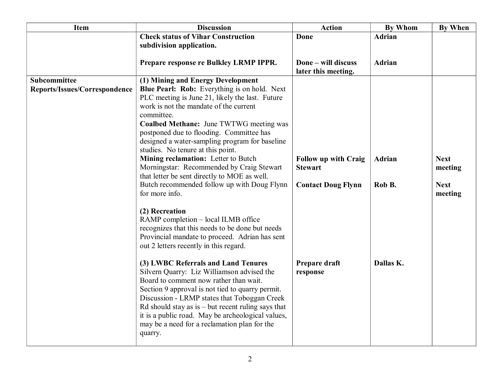| <b>Item</b>                   | <b>Discussion</b>                                                                          | <b>Action</b>                              | <b>By Whom</b> | <b>By When</b> |
|-------------------------------|--------------------------------------------------------------------------------------------|--------------------------------------------|----------------|----------------|
|                               | <b>Check status of Vihar Construction</b>                                                  | Done                                       | <b>Adrian</b>  |                |
|                               | subdivision application.                                                                   |                                            |                |                |
|                               | Prepare response re Bulkley LRMP IPPR.                                                     | Done - will discuss<br>later this meeting. | <b>Adrian</b>  |                |
| Subcommittee                  | (1) Mining and Energy Development                                                          |                                            |                |                |
| Reports/Issues/Correspondence | Blue Pearl: Rob: Everything is on hold. Next                                               |                                            |                |                |
|                               | PLC meeting is June 21, likely the last. Future                                            |                                            |                |                |
|                               | work is not the mandate of the current                                                     |                                            |                |                |
|                               | committee.                                                                                 |                                            |                |                |
|                               | <b>Coalbed Methane:</b> June TWTWG meeting was<br>postponed due to flooding. Committee has |                                            |                |                |
|                               | designed a water-sampling program for baseline                                             |                                            |                |                |
|                               | studies. No tenure at this point.                                                          |                                            |                |                |
|                               | Mining reclamation: Letter to Butch                                                        | <b>Follow up with Craig</b>                | <b>Adrian</b>  | <b>Next</b>    |
|                               | Morningstar: Recommended by Craig Stewart                                                  | <b>Stewart</b>                             |                | meeting        |
|                               | that letter be sent directly to MOE as well.                                               |                                            |                |                |
|                               | Butch recommended follow up with Doug Flynn                                                | <b>Contact Doug Flynn</b>                  | Rob B.         | <b>Next</b>    |
|                               | for more info.                                                                             |                                            |                | meeting        |
|                               | (2) Recreation                                                                             |                                            |                |                |
|                               | RAMP completion - local ILMB office                                                        |                                            |                |                |
|                               | recognizes that this needs to be done but needs                                            |                                            |                |                |
|                               | Provincial mandate to proceed. Adrian has sent                                             |                                            |                |                |
|                               | out 2 letters recently in this regard.                                                     |                                            |                |                |
|                               |                                                                                            |                                            |                |                |
|                               | (3) LWBC Referrals and Land Tenures<br>Silvern Quarry: Liz Williamson advised the          | Prepare draft<br>response                  | Dallas K.      |                |
|                               | Board to comment now rather than wait.                                                     |                                            |                |                |
|                               | Section 9 approval is not tied to quarry permit.                                           |                                            |                |                |
|                               | Discussion - LRMP states that Toboggan Creek                                               |                                            |                |                |
|                               | $Rd$ should stay as is $-$ but recent ruling says that                                     |                                            |                |                |
|                               | it is a public road. May be archeological values,                                          |                                            |                |                |
|                               | may be a need for a reclamation plan for the                                               |                                            |                |                |
|                               | quarry.                                                                                    |                                            |                |                |
|                               |                                                                                            |                                            |                |                |